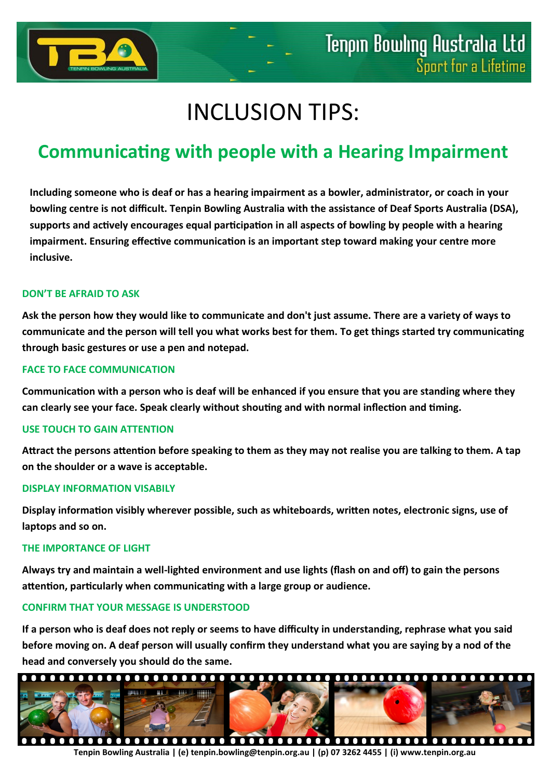

# INCLUSION TIPS:

# **Communicating with people with a Hearing Impairment**

**Including someone who is deaf or has a hearing impairment as a bowler, administrator, or coach in your bowling centre is not difficult. Tenpin Bowling Australia with the assistance of Deaf Sports Australia (DSA), supports and actively encourages equal participation in all aspects of bowling by people with a hearing impairment. Ensuring effective communication is an important step toward making your centre more inclusive.**

## **DON'T BE AFRAID TO ASK**

**Ask the person how they would like to communicate and don't just assume. There are a variety of ways to communicate and the person will tell you what works best for them. To get things started try communicating through basic gestures or use a pen and notepad.**

## **FACE TO FACE COMMUNICATION**

**Communication with a person who is deaf will be enhanced if you ensure that you are standing where they can clearly see your face. Speak clearly without shouting and with normal inflection and timing.**

#### **USE TOUCH TO GAIN ATTENTION**

**Attract the persons attention before speaking to them as they may not realise you are talking to them. A tap on the shoulder or a wave is acceptable.**

#### **DISPLAY INFORMATION VISABILY**

**Display information visibly wherever possible, such as whiteboards, written notes, electronic signs, use of laptops and so on.**

#### **THE IMPORTANCE OF LIGHT**

**Always try and maintain a well-lighted environment and use lights (flash on and off) to gain the persons attention, particularly when communicating with a large group or audience.**

# **CONFIRM THAT YOUR MESSAGE IS UNDERSTOOD**

**If a person who is deaf does not reply or seems to have difficulty in understanding, rephrase what you said before moving on. A deaf person will usually confirm they understand what you are saying by a nod of the head and conversely you should do the same.**



**Tenpin Bowling Australia | (e) tenpin.bowling@tenpin.org.au | (p) 07 3262 4455 | (i) www.tenpin.org.au**